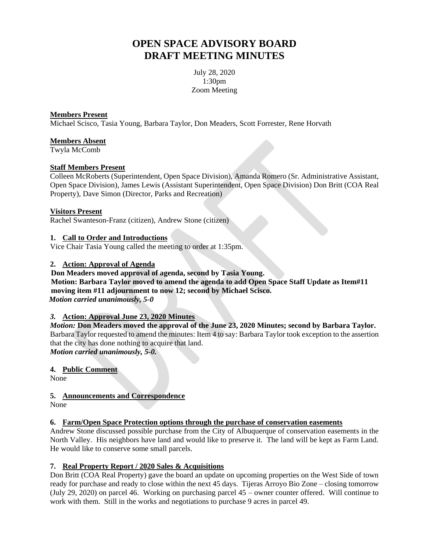# **OPEN SPACE ADVISORY BOARD DRAFT MEETING MINUTES**

July 28, 2020 1:30pm Zoom Meeting

#### **Members Present**

Michael Scisco, Tasia Young, Barbara Taylor, Don Meaders, Scott Forrester, Rene Horvath

#### **Members Absent**

Twyla McComb

#### **Staff Members Present**

Colleen McRoberts (Superintendent, Open Space Division), Amanda Romero (Sr. Administrative Assistant, Open Space Division), James Lewis (Assistant Superintendent, Open Space Division) Don Britt (COA Real Property), Dave Simon (Director, Parks and Recreation)

#### **Visitors Present**

Rachel Swanteson-Franz (citizen), Andrew Stone (citizen)

#### **1. Call to Order and Introductions**

Vice Chair Tasia Young called the meeting to order at 1:35pm.

#### **2. Action: Approval of Agenda**

 **Don Meaders moved approval of agenda, second by Tasia Young. Motion: Barbara Taylor moved to amend the agenda to add Open Space Staff Update as Item#11 moving item #11 adjournment to now 12; second by Michael Scisco.**  *Motion carried unanimously, 5-0*

## *3.* **Action: Approval June 23, 2020 Minutes**

*Motion:* **Don Meaders moved the approval of the June 23, 2020 Minutes; second by Barbara Taylor.**  Barbara Taylor requested to amend the minutes: Item 4 to say: Barbara Taylor took exception to the assertion that the city has done nothing to acquire that land. *Motion carried unanimously, 5-0.*

#### **4. Public Comment**

None

#### **5. Announcements and Correspondence**

None

#### **6. Farm/Open Space Protection options through the purchase of conservation easements**

Andrew Stone discussed possible purchase from the City of Albuquerque of conservation easements in the North Valley. His neighbors have land and would like to preserve it. The land will be kept as Farm Land. He would like to conserve some small parcels.

#### **7. Real Property Report / 2020 Sales & Acquisitions**

Don Britt (COA Real Property) gave the board an update on upcoming properties on the West Side of town ready for purchase and ready to close within the next 45 days. Tijeras Arroyo Bio Zone – closing tomorrow (July 29, 2020) on parcel 46. Working on purchasing parcel 45 – owner counter offered. Will continue to work with them. Still in the works and negotiations to purchase 9 acres in parcel 49.